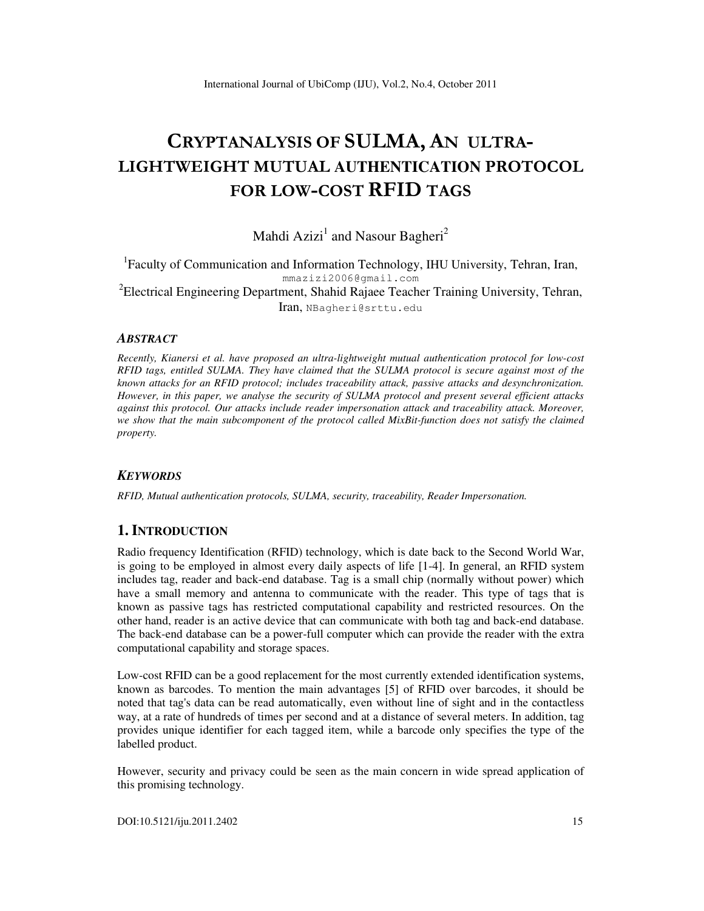# CRYPTANALYSIS OF SULMA, AN ULTRA-LIGHTWEIGHT MUTUAL **AUTHENTICATION** PROTOCOL FOR LOW-COST RFID TAGS

Mahdi Azizi<sup>1</sup> and Nasour Bagheri<sup>2</sup>

<sup>1</sup>Faculty of Communication and Information Technology, IHU University, Tehran, Iran, mmazizi2006@gmail.com  ${}^{2}$ Electrical Engineering Department, Shahid Rajaee Teacher Training University, Tehran, Iran, NBagheri@srttu.edu

#### *ABSTRACT*

*Recently, Kianersi et al. have proposed an ultra-lightweight mutual authentication protocol for low-cost RFID tags, entitled SULMA. They have claimed that the SULMA protocol is secure against most of the known attacks for an RFID protocol; includes traceability attack, passive attacks and desynchronization. However, in this paper, we analyse the security of SULMA protocol and present several efficient attacks against this protocol. Our attacks include reader impersonation attack and traceability attack. Moreover, we show that the main subcomponent of the protocol called MixBit-function does not satisfy the claimed property.* 

#### *KEYWORDS*

*RFID, Mutual authentication protocols, SULMA, security, traceability, Reader Impersonation.* 

## **1. INTRODUCTION**

Radio frequency Identification (RFID) technology, which is date back to the Second World War, is going to be employed in almost every daily aspects of life [1-4]. In general, an RFID system includes tag, reader and back-end database. Tag is a small chip (normally without power) which have a small memory and antenna to communicate with the reader. This type of tags that is known as passive tags has restricted computational capability and restricted resources. On the other hand, reader is an active device that can communicate with both tag and back-end database. The back-end database can be a power-full computer which can provide the reader with the extra computational capability and storage spaces.

Low-cost RFID can be a good replacement for the most currently extended identification systems, known as barcodes. To mention the main advantages [5] of RFID over barcodes, it should be noted that tag's data can be read automatically, even without line of sight and in the contactless way, at a rate of hundreds of times per second and at a distance of several meters. In addition, tag provides unique identifier for each tagged item, while a barcode only specifies the type of the labelled product.

However, security and privacy could be seen as the main concern in wide spread application of this promising technology.

DOI:10.5121/iju.2011.2402 15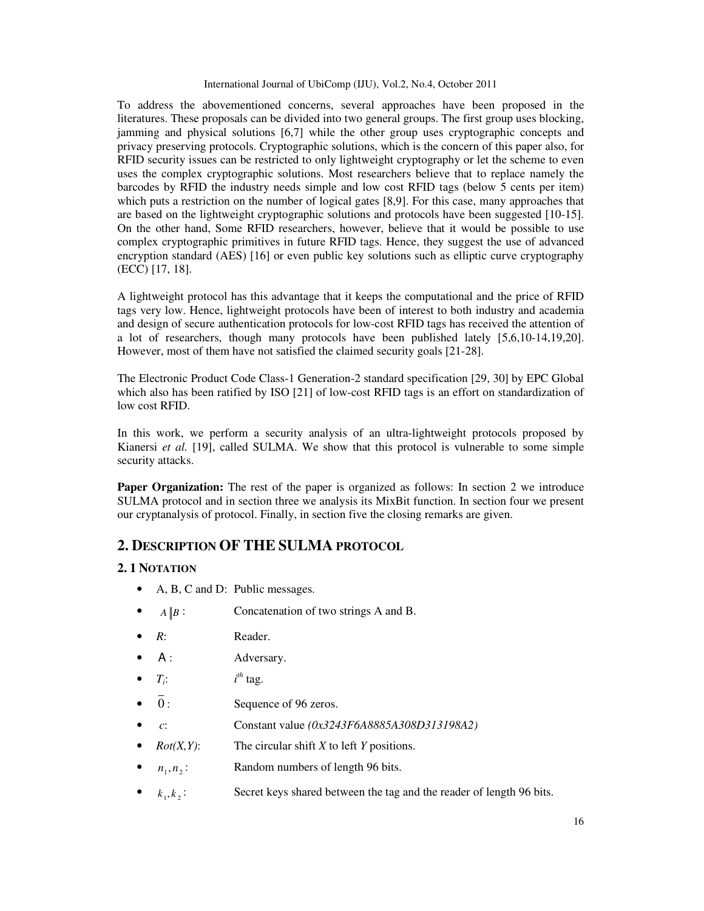To address the abovementioned concerns, several approaches have been proposed in the literatures. These proposals can be divided into two general groups. The first group uses blocking, jamming and physical solutions [6,7] while the other group uses cryptographic concepts and privacy preserving protocols. Cryptographic solutions, which is the concern of this paper also, for RFID security issues can be restricted to only lightweight cryptography or let the scheme to even uses the complex cryptographic solutions. Most researchers believe that to replace namely the barcodes by RFID the industry needs simple and low cost RFID tags (below 5 cents per item) which puts a restriction on the number of logical gates [8,9]. For this case, many approaches that are based on the lightweight cryptographic solutions and protocols have been suggested [10-15]. On the other hand, Some RFID researchers, however, believe that it would be possible to use complex cryptographic primitives in future RFID tags. Hence, they suggest the use of advanced encryption standard (AES) [16] or even public key solutions such as elliptic curve cryptography (ECC) [17, 18].

A lightweight protocol has this advantage that it keeps the computational and the price of RFID tags very low. Hence, lightweight protocols have been of interest to both industry and academia and design of secure authentication protocols for low-cost RFID tags has received the attention of a lot of researchers, though many protocols have been published lately [5,6,10-14,19,20]. However, most of them have not satisfied the claimed security goals [21-28].

The Electronic Product Code Class-1 Generation-2 standard specification [29, 30] by EPC Global which also has been ratified by ISO [21] of low-cost RFID tags is an effort on standardization of low cost RFID.

In this work, we perform a security analysis of an ultra-lightweight protocols proposed by Kianersi *et al.* [19], called SULMA. We show that this protocol is vulnerable to some simple security attacks.

**Paper Organization:** The rest of the paper is organized as follows: In section 2 we introduce SULMA protocol and in section three we analysis its MixBit function. In section four we present our cryptanalysis of protocol. Finally, in section five the closing remarks are given.

# **2. DESCRIPTION OF THE SULMA PROTOCOL**

#### **2. 1 NOTATION**

- A, B, C and D: Public messages.
- $A \| B$ : Concatenation of two strings A and B.
- *R*: Reader.
- A : Adversary.
- $T_i$ :  $i^{th}$  tag.
- $\overline{0}$ : Sequence of 96 zeros.
- • *c*: Constant value *(0x3243F6A8885A308D313198A2)*
- *Rot(X,Y)*: The circular shift *X* to left *Y* positions.
- $n_1, n_2$ : Random numbers of length 96 bits.
- $k_1, k_2$ : Secret keys shared between the tag and the reader of length 96 bits.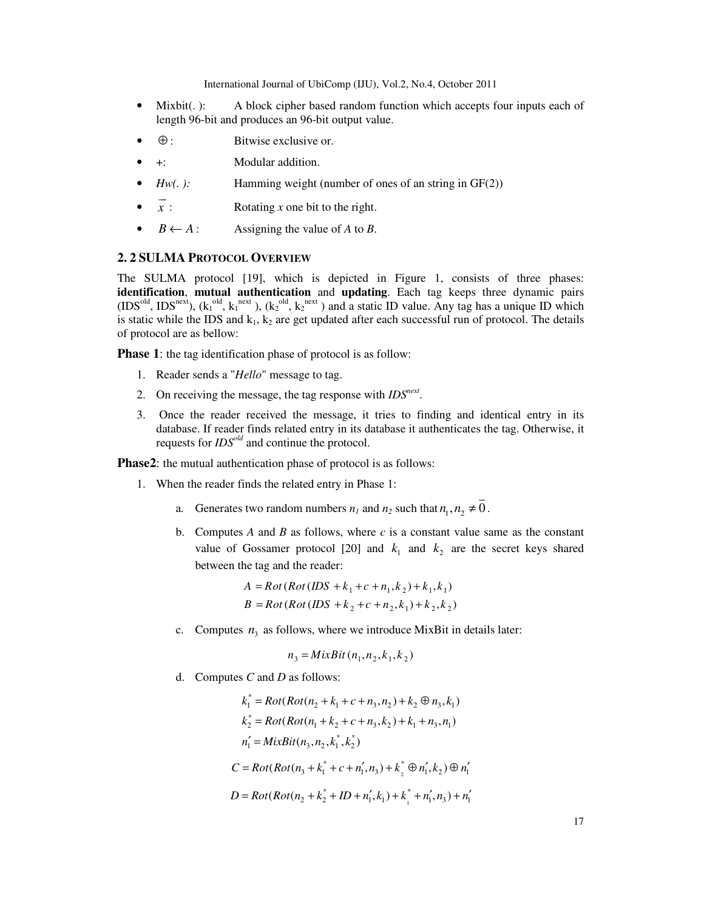- Mixbit(.): A block cipher based random function which accepts four inputs each of length 96-bit and produces an 96-bit output value.
- $\oplus$ : Bitwise exclusive or.
- +: Modular addition.
- *Hw(. ):* Hamming weight (number of ones of an string in GF(2))
- *x*  $\overline{\phantom{a}}$ Rotating *x* one bit to the right.
- $B \leftarrow A$ : Assigning the value of *A* to *B*.

#### **2. 2 SULMA PROTOCOL OVERVIEW**

The SULMA protocol [19], which is depicted in Figure 1, consists of three phases: **identification**, **mutual authentication** and **updating**. Each tag keeps three dynamic pairs (IDS<sup>old</sup>, IDS<sup>next</sup>), ( $k_1$ <sup>old</sup>,  $k_1$ <sup>next</sup>), ( $k_2$ <sup>old</sup>,  $k_2$ <sup>next</sup>) and a static ID value. Any tag has a unique ID which is static while the IDS and  $k_1$ ,  $k_2$  are get updated after each successful run of protocol. The details of protocol are as bellow:

**Phase 1**: the tag identification phase of protocol is as follow:

- 1. Reader sends a "*Hello*" message to tag.
- 2. On receiving the message, the tag response with *IDSnext* .
- 3. Once the reader received the message, it tries to finding and identical entry in its database. If reader finds related entry in its database it authenticates the tag. Otherwise, it requests for *IDSold* and continue the protocol.

**Phase2**: the mutual authentication phase of protocol is as follows:

- 1. When the reader finds the related entry in Phase 1:
	- a. Generates two random numbers  $n_1$  and  $n_2$  such that  $n_1$ ,  $n_2 \neq 0$ .
	- b. Computes *A* and *B* as follows, where *c* is a constant value same as the constant value of Gossamer protocol [20] and  $k_1$  and  $k_2$  are the secret keys shared between the tag and the reader:

$$
A = Rot(Rot(IDS + k1 + c + n1, k2) + k1, k1)
$$
  

$$
B = Rot(Rot(IDS + k2 + c + n2, k1) + k2, k2)
$$

c. Computes  $n_3$  as follows, where we introduce MixBit in details later:

$$
n_3 = MixBit(n_1, n_2, k_1, k_2)
$$

d. Computes *C* and *D* as follows:

$$
k_1^* = Rot(Rot(n_2 + k_1 + c + n_3, n_2) + k_2 \oplus n_3, k_1)
$$
  
\n
$$
k_2^* = Rot(Rot(n_1 + k_2 + c + n_3, k_2) + k_1 + n_3, n_1)
$$
  
\n
$$
n_1' = MixBit(n_3, n_2, k_1^*, k_2^*)
$$
  
\n
$$
C = Rot(Rot(n_3 + k_1^* + c + n_1', n_3) + k_2^* \oplus n_1', k_2) \oplus n_1'
$$
  
\n
$$
D = Rot(Rot(n_2 + k_2^* + ID + n_1', k_1) + k_1^* + n_1', n_3) + n_1'
$$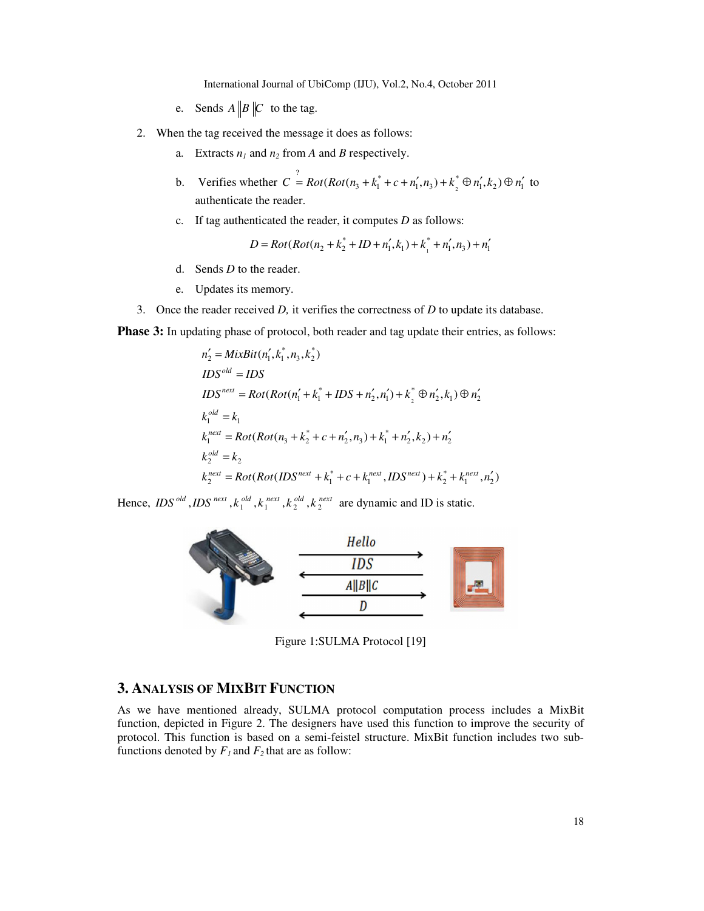- e. Sends  $A \parallel B \parallel C$  to the tag.
- 2. When the tag received the message it does as follows:
	- a. Extracts  $n_1$  and  $n_2$  from *A* and *B* respectively.
	- b. Verifies whether  $C = Rot(Rot(n_3 + k_1^* + c + n_1', n_3) + k_2^*$  $C^{\frac{7}{2}} = Rot(Rot(n_3 + k_1^* + c + n_1', n_3) + k_3^* \oplus n_1', k_2) \oplus n_1'$  to authenticate the reader.
	- c. If tag authenticated the reader, it computes *D* as follows:

$$
D = Rot(Rot(n_2 + k_2^* + ID + n_1', k_1) + k_1^* + n_1', n_3) + n_1'
$$

- d. Sends *D* to the reader.
- e. Updates its memory.
- 3. Once the reader received *D,* it verifies the correctness of *D* to update its database.

**Phase 3:** In updating phase of protocol, both reader and tag update their entries, as follows:

$$
n'_{2} = MixBit(n'_{1}, k^{*}_{1}, n_{3}, k^{*}_{2})
$$
  
\n
$$
IDS^{old} = IDs
$$
  
\n
$$
IDS^{next} = Rot(Rot(n'_{1} + k^{*}_{1} + IDs + n'_{2}, n'_{1}) + k^{*}_{2} \oplus n'_{2}, k_{1}) \oplus n'_{2}
$$
  
\n
$$
k_{1}^{old} = k_{1}
$$
  
\n
$$
k_{1}^{next} = Rot(Rot(n_{3} + k^{*}_{2} + c + n'_{2}, n_{3}) + k^{*}_{1} + n'_{2}, k_{2}) + n'_{2}
$$
  
\n
$$
k_{2}^{old} = k_{2}
$$
  
\n
$$
k_{2}^{next} = Rot(Rot(IDS^{next} + k^{*}_{1} + c + k_{1}^{next}, IDS^{next}) + k^{*}_{2} + k_{1}^{next}, n'_{2})
$$

Hence,  $IDS^{old}$ ,  $IDS^{next}$ ,  $k_1^{old}$ ,  $k_1^{next}$ ,  $k_2^{old}$ ,  $k_2^{next}$  are dynamic and ID is static.



Figure 1:SULMA Protocol [19]

## **3. ANALYSIS OF MIXBIT FUNCTION**

As we have mentioned already, SULMA protocol computation process includes a MixBit function, depicted in Figure 2. The designers have used this function to improve the security of protocol. This function is based on a semi-feistel structure. MixBit function includes two subfunctions denoted by  $F_I$  and  $F_2$  that are as follow: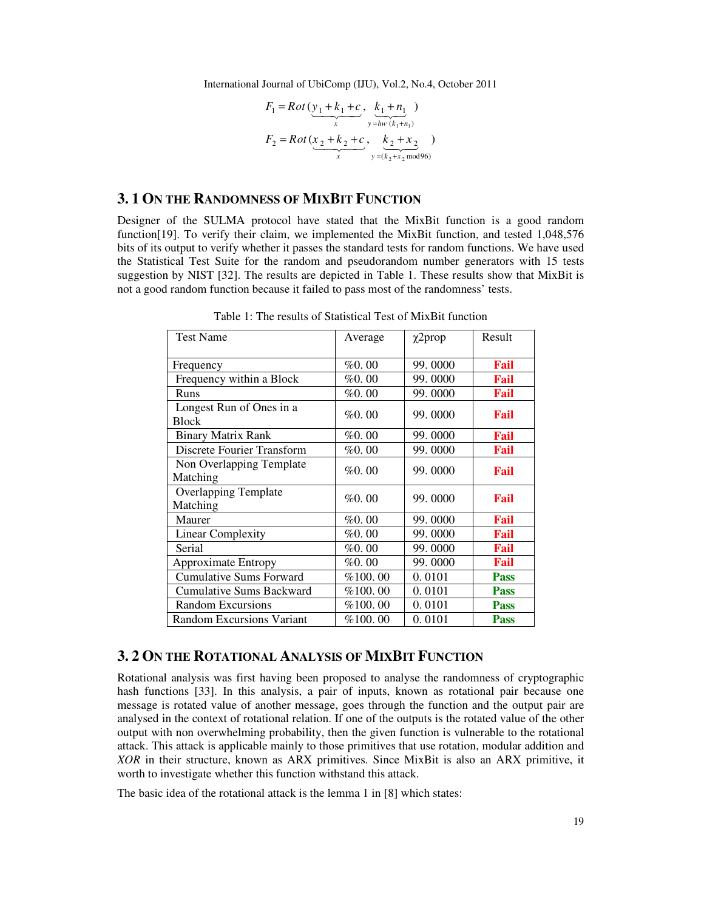$$
F_1 = Rot(\underbrace{y_1 + k_1 + c}_{x}, \underbrace{k_1 + n_1}_{y = hw(k_1 + n_1)})
$$
  
\n
$$
F_2 = Rot(\underbrace{x_2 + k_2 + c}_{x}, \underbrace{k_2 + x_2}_{y = (k_2 + x_2 mod 96)})
$$

## **3. 1 ON THE RANDOMNESS OF MIXBIT FUNCTION**

Designer of the SULMA protocol have stated that the MixBit function is a good random function[19]. To verify their claim, we implemented the MixBit function, and tested 1,048,576 bits of its output to verify whether it passes the standard tests for random functions. We have used the Statistical Test Suite for the random and pseudorandom number generators with 15 tests suggestion by NIST [32]. The results are depicted in Table 1. These results show that MixBit is not a good random function because it failed to pass most of the randomness' tests.

| <b>Test Name</b>                         | Average | $\chi$ 2prop | Result      |
|------------------------------------------|---------|--------------|-------------|
| Frequency                                | %0.00   | 99.0000      | Fail        |
| Frequency within a Block                 | %0.00   | 99.0000      | Fail        |
| Runs                                     | %0.00   | 99.0000      | Fail        |
| Longest Run of Ones in a<br><b>Block</b> | %0.00   | 99.0000      | Fail        |
| <b>Binary Matrix Rank</b>                | %0.00   | 99.0000      | Fail        |
| Discrete Fourier Transform               | %0.00   | 99.0000      | Fail        |
| Non Overlapping Template<br>Matching     | %0.00   | 99.0000      | Fail        |
| <b>Overlapping Template</b><br>Matching  | % 0.00  | 99.0000      | Fail        |
| Maurer                                   | % 0.00  | 99.0000      | Fail        |
| <b>Linear Complexity</b>                 | %0.00   | 99.0000      | Fail        |
| Serial                                   | %0.00   | 99.0000      | Fail        |
| Approximate Entropy                      | %0.00   | 99.0000      | Fail        |
| <b>Cumulative Sums Forward</b>           | %100.00 | 0.0101       | <b>Pass</b> |
| <b>Cumulative Sums Backward</b>          | %100.00 | 0.0101       | <b>Pass</b> |
| <b>Random Excursions</b>                 | %100.00 | 0.0101       | <b>Pass</b> |
| <b>Random Excursions Variant</b>         | %100.00 | 0.0101       | <b>Pass</b> |

Table 1: The results of Statistical Test of MixBit function

#### **3. 2 ON THE ROTATIONAL ANALYSIS OF MIXBIT FUNCTION**

Rotational analysis was first having been proposed to analyse the randomness of cryptographic hash functions [33]. In this analysis, a pair of inputs, known as rotational pair because one message is rotated value of another message, goes through the function and the output pair are analysed in the context of rotational relation. If one of the outputs is the rotated value of the other output with non overwhelming probability, then the given function is vulnerable to the rotational attack. This attack is applicable mainly to those primitives that use rotation, modular addition and *XOR* in their structure, known as ARX primitives. Since MixBit is also an ARX primitive, it worth to investigate whether this function withstand this attack.

The basic idea of the rotational attack is the lemma 1 in [8] which states: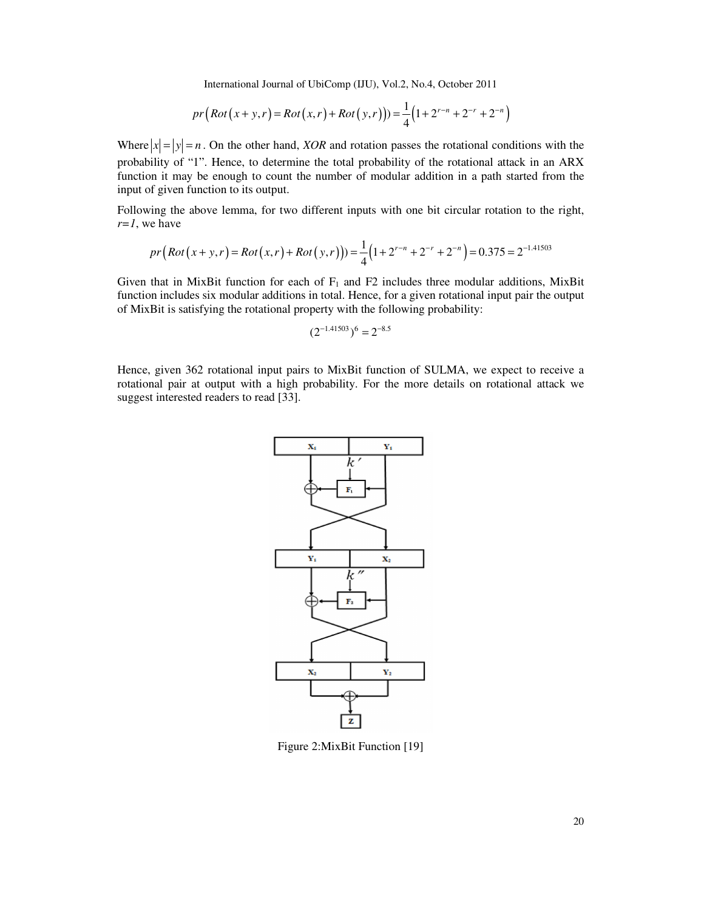$$
pr(Rot(x+y,r) = Rot(x,r) + Rot(y,r))) = \frac{1}{4}(1 + 2^{r-n} + 2^{-r} + 2^{-n})
$$

Where  $|x| = |y| = n$ . On the other hand, *XOR* and rotation passes the rotational conditions with the probability of "1". Hence, to determine the total probability of the rotational attack in an ARX function it may be enough to count the number of modular addition in a path started from the input of given function to its output.

Following the above lemma, for two different inputs with one bit circular rotation to the right, *r=1*, we have

$$
pr(Rot(x+y,r) = Rot(x,r) + Rot(y,r))) = \frac{1}{4}(1 + 2^{r-n} + 2^{-r} + 2^{-n}) = 0.375 = 2^{-1.41503}
$$

Given that in MixBit function for each of  $F_1$  and F2 includes three modular additions, MixBit function includes six modular additions in total. Hence, for a given rotational input pair the output of MixBit is satisfying the rotational property with the following probability:

$$
(2^{-1.41503})^6 = 2^{-8.5}
$$

Hence, given 362 rotational input pairs to MixBit function of SULMA, we expect to receive a rotational pair at output with a high probability. For the more details on rotational attack we suggest interested readers to read [33].



Figure 2:MixBit Function [19]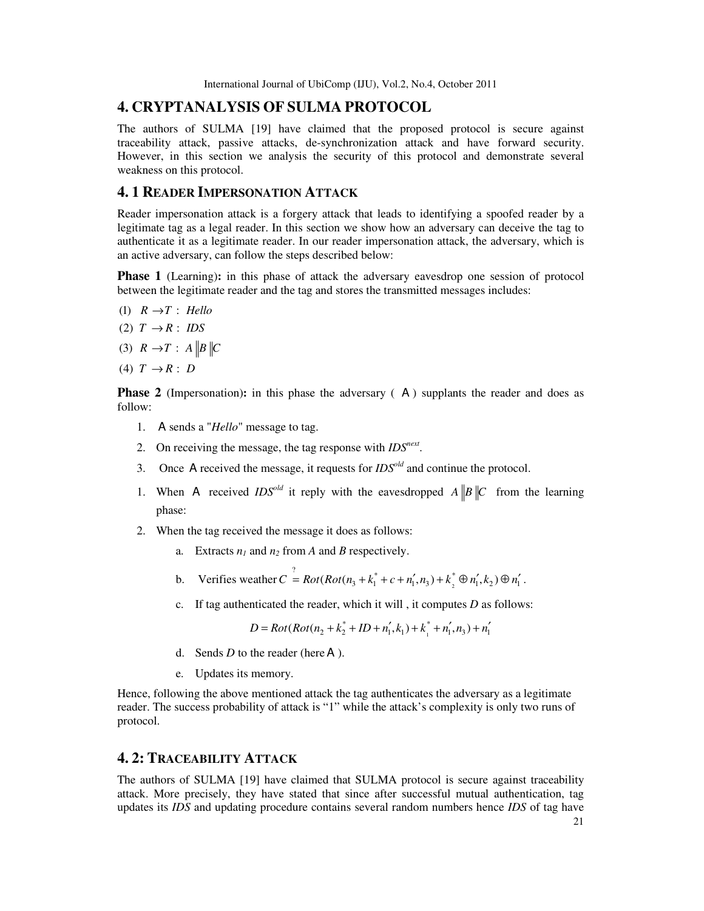# **4. CRYPTANALYSIS OF SULMA PROTOCOL**

The authors of SULMA [19] have claimed that the proposed protocol is secure against traceability attack, passive attacks, de-synchronization attack and have forward security. However, in this section we analysis the security of this protocol and demonstrate several weakness on this protocol.

## **4. 1 READER IMPERSONATION ATTACK**

Reader impersonation attack is a forgery attack that leads to identifying a spoofed reader by a legitimate tag as a legal reader. In this section we show how an adversary can deceive the tag to authenticate it as a legitimate reader. In our reader impersonation attack, the adversary, which is an active adversary, can follow the steps described below:

**Phase 1** (Learning): in this phase of attack the adversary eavesdrop one session of protocol between the legitimate reader and the tag and stores the transmitted messages includes:

- $(1)$   $R \rightarrow T$  : *Hello*
- $(2)$   $T \rightarrow R$  : *IDS*
- $(3)$   $R \rightarrow T$  :  $A \parallel B \parallel C$
- $(4)$   $T \rightarrow R$  : *D*

**Phase 2** (Impersonation): in this phase the adversary (A) supplants the reader and does as follow:

- 1. A sends a "*Hello*" message to tag.
- 2. On receiving the message, the tag response with *IDSnext* .
- 3. Once A received the message, it requests for *IDSold* and continue the protocol.
- 1. When A received *IDS<sup>old</sup>* it reply with the eavesdropped  $A||B||C$  from the learning phase:
- 2. When the tag received the message it does as follows:
	- a. Extracts  $n_1$  and  $n_2$  from *A* and *B* respectively.
	- b. Verifies weather  $C = Rot(Rot(n_3 + k_1^* + c + n_1', n_3) + k_2^*$  $C^{\frac{7}{2}} = Rot(Rot(n_3 + k_1^* + c + n_1', n_3) + k_3^* \oplus n_1', k_2) \oplus n_1'.$
	- c. If tag authenticated the reader, which it will , it computes *D* as follows:

1  $D = Rot(Rot(n_2 + k_2^* + ID + n_1', k_1) + k_1^* + n_1', n_3) + n_1'$ 

- d. Sends  $D$  to the reader (here  $A$ ).
- e. Updates its memory.

Hence, following the above mentioned attack the tag authenticates the adversary as a legitimate reader. The success probability of attack is "1" while the attack's complexity is only two runs of protocol.

# **4. 2: TRACEABILITY ATTACK**

The authors of SULMA [19] have claimed that SULMA protocol is secure against traceability attack. More precisely, they have stated that since after successful mutual authentication, tag updates its *IDS* and updating procedure contains several random numbers hence *IDS* of tag have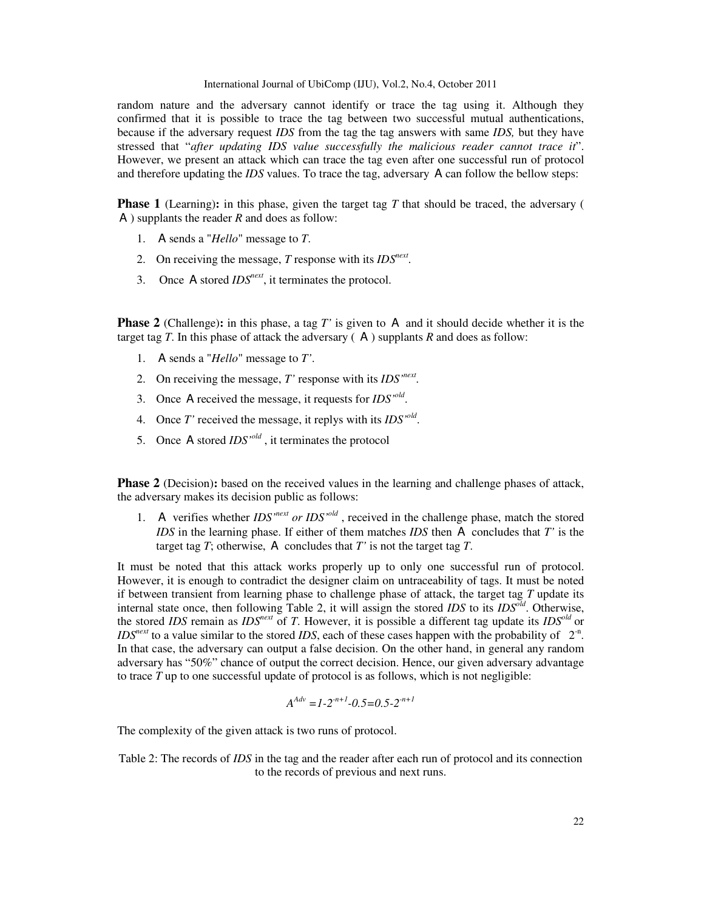random nature and the adversary cannot identify or trace the tag using it. Although they confirmed that it is possible to trace the tag between two successful mutual authentications, because if the adversary request *IDS* from the tag the tag answers with same *IDS,* but they have stressed that "*after updating IDS value successfully the malicious reader cannot trace it*". However, we present an attack which can trace the tag even after one successful run of protocol and therefore updating the *IDS* values. To trace the tag, adversary A can follow the bellow steps:

**Phase 1** (Learning): in this phase, given the target tag T that should be traced, the adversary ( A ) supplants the reader *R* and does as follow:

- 1. A sends a "*Hello*" message to *T*.
- 2. On receiving the message, *T* response with its *IDSnext* .
- 3. Once A stored *IDSnext*, it terminates the protocol.

**Phase 2** (Challenge)**:** in this phase, a tag *T'* is given to A and it should decide whether it is the target tag  $T$ . In this phase of attack the adversary  $(A)$  supplants  $R$  and does as follow:

- 1. A sends a "*Hello*" message to *T'*.
- 2. On receiving the message, *T'* response with its *IDS'next* .
- 3. Once A received the message, it requests for *IDS'old* .
- 4. Once *T'* received the message, it replys with its *IDS'old* .
- 5. Once A stored *IDS'old* , it terminates the protocol

**Phase 2** (Decision): based on the received values in the learning and challenge phases of attack, the adversary makes its decision public as follows:

1. A verifies whether *IDS*<sup>*next</sup> or IDS*<sup>*old*</sup>, received in the challenge phase, match the stored</sup> *IDS* in the learning phase. If either of them matches *IDS* then A concludes that *T'* is the target tag *T*; otherwise, A concludes that *T'* is not the target tag *T*.

It must be noted that this attack works properly up to only one successful run of protocol. However, it is enough to contradict the designer claim on untraceability of tags. It must be noted if between transient from learning phase to challenge phase of attack, the target tag *T* update its internal state once, then following Table 2, it will assign the stored *IDS* to its *IDSold*. Otherwise, the stored *IDS* remain as *IDSnext* of *T*. However, it is possible a different tag update its *IDSold*  or  $\textit{IDS}^{\textit{next}}$  to a value similar to the stored *IDS*, each of these cases happen with the probability of  $2^n$ . In that case, the adversary can output a false decision. On the other hand, in general any random adversary has "50%" chance of output the correct decision. Hence, our given adversary advantage to trace *T* up to one successful update of protocol is as follows, which is not negligible:

$$
A^{Adv} = 1 - 2^{-n+1} - 0.5 = 0.5 - 2^{-n+1}
$$

The complexity of the given attack is two runs of protocol.

Table 2: The records of *IDS* in the tag and the reader after each run of protocol and its connection to the records of previous and next runs.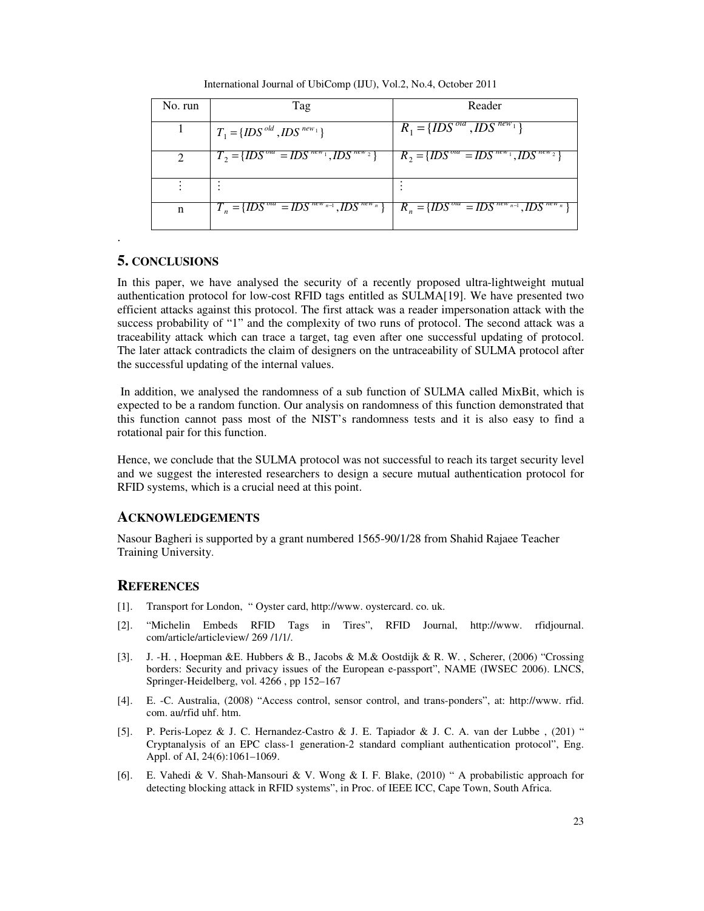International Journal of UbiComp (IJU), Vol.2, No.4, October 2011

| No. run                     | Tag                                                         | Reader                                                                 |
|-----------------------------|-------------------------------------------------------------|------------------------------------------------------------------------|
|                             | $T_1 = \{IDS^{old},IDS^{new_1}\}$                           | $R_1 = \{IDS^{ola}, IDs^{new_1}\}$                                     |
| $\mathcal{D}_{\mathcal{L}}$ | $T_2 = \{IDS^{ola} = IDS^{new_1}, I\overline{DS}^{new_2}\}$ | $R_2 = \{IDS^{ola} = I\overline{DS}^{new_1}, I\overline{DS}^{new_2}\}$ |
|                             |                                                             |                                                                        |
| n                           | $T_n = \{IDS^{old} = IDs^{new_{n-1}}, IDs^{new_n}\}$        | $R_n = \{IDS^{ola} = IDs^{new_{n-1}}, \overline{IDS}^{new_n}\}$        |

## **5. CONCLUSIONS**

.

In this paper, we have analysed the security of a recently proposed ultra-lightweight mutual authentication protocol for low-cost RFID tags entitled as SULMA[19]. We have presented two efficient attacks against this protocol. The first attack was a reader impersonation attack with the success probability of "1" and the complexity of two runs of protocol. The second attack was a traceability attack which can trace a target, tag even after one successful updating of protocol. The later attack contradicts the claim of designers on the untraceability of SULMA protocol after the successful updating of the internal values.

In addition, we analysed the randomness of a sub function of SULMA called MixBit, which is expected to be a random function. Our analysis on randomness of this function demonstrated that this function cannot pass most of the NIST's randomness tests and it is also easy to find a rotational pair for this function.

Hence, we conclude that the SULMA protocol was not successful to reach its target security level and we suggest the interested researchers to design a secure mutual authentication protocol for RFID systems, which is a crucial need at this point.

## **ACKNOWLEDGEMENTS**

Nasour Bagheri is supported by a grant numbered 1565-90/1/28 from Shahid Rajaee Teacher Training University.

#### **REFERENCES**

- [1]. Transport for London, " Oyster card, http://www. oystercard. co. uk.
- [2]. "Michelin Embeds RFID Tags in Tires", RFID Journal, http://www. rfidjournal. com/article/articleview/ 269 /1/1/.
- [3]. J. -H. , Hoepman &E. Hubbers & B., Jacobs & M.& Oostdijk & R. W. , Scherer, (2006) "Crossing borders: Security and privacy issues of the European e-passport", NAME (IWSEC 2006). LNCS, Springer-Heidelberg, vol. 4266 , pp 152–167
- [4]. E. -C. Australia, (2008) "Access control, sensor control, and trans-ponders", at: http://www. rfid. com. au/rfid uhf. htm.
- [5]. P. Peris-Lopez & J. C. Hernandez-Castro & J. E. Tapiador & J. C. A. van der Lubbe , (201) " Cryptanalysis of an EPC class-1 generation-2 standard compliant authentication protocol", Eng. Appl. of AI, 24(6):1061–1069.
- [6]. E. Vahedi & V. Shah-Mansouri & V. Wong & I. F. Blake, (2010) " A probabilistic approach for detecting blocking attack in RFID systems", in Proc. of IEEE ICC, Cape Town, South Africa.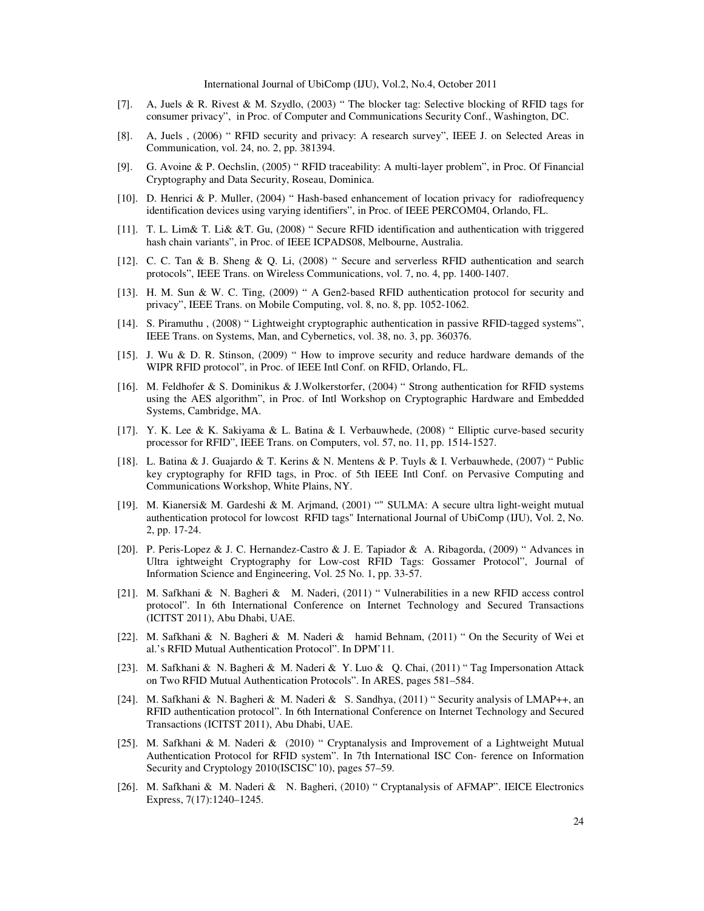- [7]. A, Juels & R. Rivest & M. Szydlo, (2003) " The blocker tag: Selective blocking of RFID tags for consumer privacy", in Proc. of Computer and Communications Security Conf., Washington, DC.
- [8]. A, Juels , (2006) " RFID security and privacy: A research survey", IEEE J. on Selected Areas in Communication, vol. 24, no. 2, pp. 381394.
- [9]. G. Avoine & P. Oechslin, (2005) " RFID traceability: A multi-layer problem", in Proc. Of Financial Cryptography and Data Security, Roseau, Dominica.
- [10]. D. Henrici & P. Muller, (2004) " Hash-based enhancement of location privacy for radiofrequency identification devices using varying identifiers", in Proc. of IEEE PERCOM04, Orlando, FL.
- [11]. T. L. Lim& T. Li& &T. Gu, (2008) " Secure RFID identification and authentication with triggered hash chain variants", in Proc. of IEEE ICPADS08, Melbourne, Australia.
- [12]. C. C. Tan & B. Sheng & Q. Li, (2008) " Secure and serverless RFID authentication and search protocols", IEEE Trans. on Wireless Communications, vol. 7, no. 4, pp. 1400-1407.
- [13]. H. M. Sun & W. C. Ting, (2009) " A Gen2-based RFID authentication protocol for security and privacy", IEEE Trans. on Mobile Computing, vol. 8, no. 8, pp. 1052-1062.
- [14]. S. Piramuthu , (2008) " Lightweight cryptographic authentication in passive RFID-tagged systems", IEEE Trans. on Systems, Man, and Cybernetics, vol. 38, no. 3, pp. 360376.
- [15]. J. Wu & D. R. Stinson, (2009) " How to improve security and reduce hardware demands of the WIPR RFID protocol", in Proc. of IEEE Intl Conf. on RFID, Orlando, FL.
- [16]. M. Feldhofer & S. Dominikus & J.Wolkerstorfer, (2004) " Strong authentication for RFID systems using the AES algorithm", in Proc. of Intl Workshop on Cryptographic Hardware and Embedded Systems, Cambridge, MA.
- [17]. Y. K. Lee & K. Sakiyama & L. Batina & I. Verbauwhede, (2008) " Elliptic curve-based security processor for RFID", IEEE Trans. on Computers, vol. 57, no. 11, pp. 1514-1527.
- [18]. L. Batina & J. Guajardo & T. Kerins & N. Mentens & P. Tuyls & I. Verbauwhede, (2007) " Public key cryptography for RFID tags, in Proc. of 5th IEEE Intl Conf. on Pervasive Computing and Communications Workshop, White Plains, NY.
- [19]. M. Kianersi& M. Gardeshi & M. Arjmand, (2001) "" SULMA: A secure ultra light-weight mutual authentication protocol for lowcost RFID tags" International Journal of UbiComp (IJU), Vol. 2, No. 2, pp. 17-24.
- [20]. P. Peris-Lopez & J. C. Hernandez-Castro & J. E. Tapiador & A. Ribagorda, (2009) " Advances in Ultra ightweight Cryptography for Low-cost RFID Tags: Gossamer Protocol", Journal of Information Science and Engineering, Vol. 25 No. 1, pp. 33-57.
- [21]. M. Safkhani & N. Bagheri & M. Naderi, (2011) " Vulnerabilities in a new RFID access control protocol". In 6th International Conference on Internet Technology and Secured Transactions (ICITST 2011), Abu Dhabi, UAE.
- [22]. M. Safkhani & N. Bagheri & M. Naderi & hamid Behnam, (2011) " On the Security of Wei et al.'s RFID Mutual Authentication Protocol". In DPM'11.
- [23]. M. Safkhani & N. Bagheri & M. Naderi & Y. Luo & Q. Chai, (2011) " Tag Impersonation Attack on Two RFID Mutual Authentication Protocols". In ARES, pages 581–584.
- [24]. M. Safkhani & N. Bagheri & M. Naderi & S. Sandhya, (2011) " Security analysis of LMAP++, an RFID authentication protocol". In 6th International Conference on Internet Technology and Secured Transactions (ICITST 2011), Abu Dhabi, UAE.
- [25]. M. Safkhani & M. Naderi & (2010) " Cryptanalysis and Improvement of a Lightweight Mutual Authentication Protocol for RFID system". In 7th International ISC Con- ference on Information Security and Cryptology 2010(ISCISC'10), pages 57–59.
- [26]. M. Safkhani & M. Naderi & N. Bagheri, (2010) " Cryptanalysis of AFMAP". IEICE Electronics Express, 7(17):1240–1245.